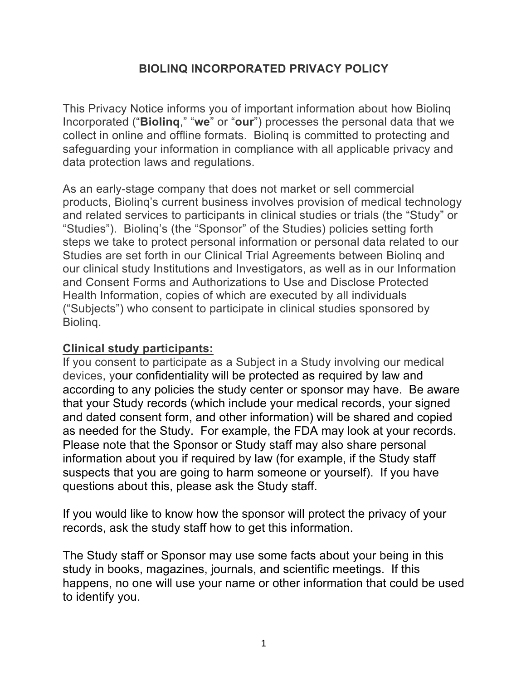### **BIOLINQ INCORPORATED PRIVACY POLICY**

This Privacy Notice informs you of important information about how Biolinq Incorporated ("**Biolinq**," "**we**" or "**our**") processes the personal data that we collect in online and offline formats. Biolinq is committed to protecting and safeguarding your information in compliance with all applicable privacy and data protection laws and regulations.

As an early-stage company that does not market or sell commercial products, Biolinq's current business involves provision of medical technology and related services to participants in clinical studies or trials (the "Study" or "Studies"). Biolinq's (the "Sponsor" of the Studies) policies setting forth steps we take to protect personal information or personal data related to our Studies are set forth in our Clinical Trial Agreements between Biolinq and our clinical study Institutions and Investigators, as well as in our Information and Consent Forms and Authorizations to Use and Disclose Protected Health Information, copies of which are executed by all individuals ("Subjects") who consent to participate in clinical studies sponsored by Biolinq.

#### **Clinical study participants:**

If you consent to participate as a Subject in a Study involving our medical devices, your confidentiality will be protected as required by law and according to any policies the study center or sponsor may have. Be aware that your Study records (which include your medical records, your signed and dated consent form, and other information) will be shared and copied as needed for the Study. For example, the FDA may look at your records. Please note that the Sponsor or Study staff may also share personal information about you if required by law (for example, if the Study staff suspects that you are going to harm someone or yourself). If you have questions about this, please ask the Study staff.

If you would like to know how the sponsor will protect the privacy of your records, ask the study staff how to get this information.

The Study staff or Sponsor may use some facts about your being in this study in books, magazines, journals, and scientific meetings. If this happens, no one will use your name or other information that could be used to identify you.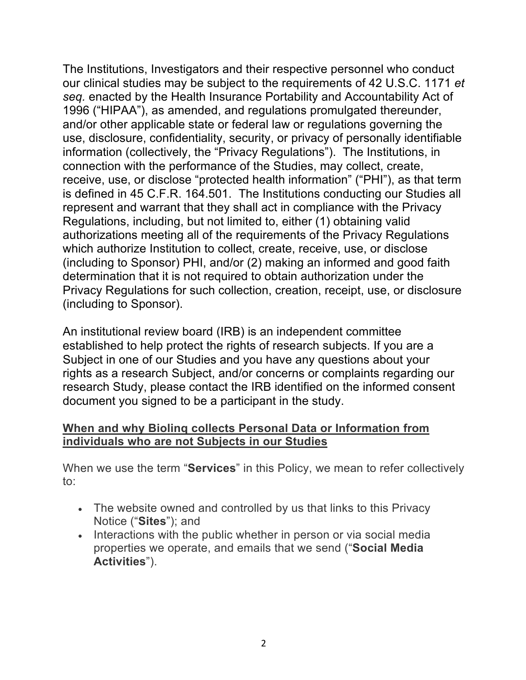The Institutions, Investigators and their respective personnel who conduct our clinical studies may be subject to the requirements of 42 U.S.C. 1171 *et seq.* enacted by the Health Insurance Portability and Accountability Act of 1996 ("HIPAA"), as amended, and regulations promulgated thereunder, and/or other applicable state or federal law or regulations governing the use, disclosure, confidentiality, security, or privacy of personally identifiable information (collectively, the "Privacy Regulations"). The Institutions, in connection with the performance of the Studies, may collect, create, receive, use, or disclose "protected health information" ("PHI"), as that term is defined in 45 C.F.R. 164.501. The Institutions conducting our Studies all represent and warrant that they shall act in compliance with the Privacy Regulations, including, but not limited to, either (1) obtaining valid authorizations meeting all of the requirements of the Privacy Regulations which authorize Institution to collect, create, receive, use, or disclose (including to Sponsor) PHI, and/or (2) making an informed and good faith determination that it is not required to obtain authorization under the Privacy Regulations for such collection, creation, receipt, use, or disclosure (including to Sponsor).

An institutional review board (IRB) is an independent committee established to help protect the rights of research subjects. If you are a Subject in one of our Studies and you have any questions about your rights as a research Subject, and/or concerns or complaints regarding our research Study, please contact the IRB identified on the informed consent document you signed to be a participant in the study.

# **When and why Biolinq collects Personal Data or Information from individuals who are not Subjects in our Studies**

When we use the term "**Services**" in this Policy, we mean to refer collectively to:

- The website owned and controlled by us that links to this Privacy Notice ("**Sites**"); and
- Interactions with the public whether in person or via social media properties we operate, and emails that we send ("**Social Media Activities**").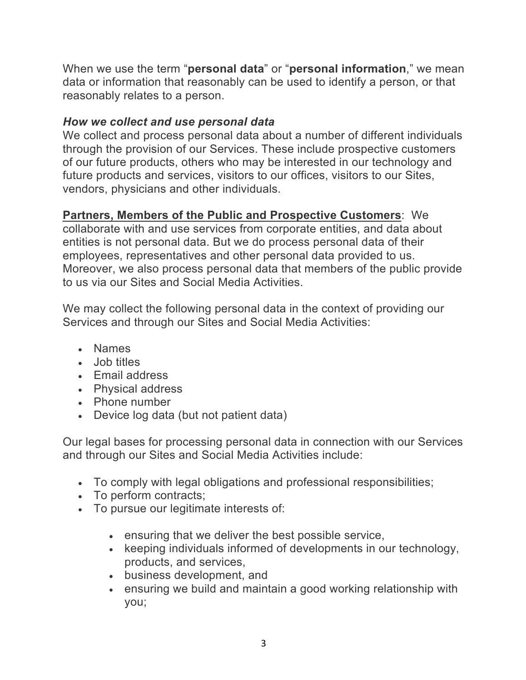When we use the term "**personal data**" or "**personal information**," we mean data or information that reasonably can be used to identify a person, or that reasonably relates to a person.

### *How we collect and use personal data*

We collect and process personal data about a number of different individuals through the provision of our Services. These include prospective customers of our future products, others who may be interested in our technology and future products and services, visitors to our offices, visitors to our Sites, vendors, physicians and other individuals.

### **Partners, Members of the Public and Prospective Customers**: We

collaborate with and use services from corporate entities, and data about entities is not personal data. But we do process personal data of their employees, representatives and other personal data provided to us. Moreover, we also process personal data that members of the public provide to us via our Sites and Social Media Activities.

We may collect the following personal data in the context of providing our Services and through our Sites and Social Media Activities:

- Names
- Job titles
- Email address
- Physical address
- Phone number
- Device log data (but not patient data)

Our legal bases for processing personal data in connection with our Services and through our Sites and Social Media Activities include:

- To comply with legal obligations and professional responsibilities;
- To perform contracts;
- To pursue our legitimate interests of:
	- ensuring that we deliver the best possible service,
	- keeping individuals informed of developments in our technology, products, and services,
	- business development, and
	- ensuring we build and maintain a good working relationship with you;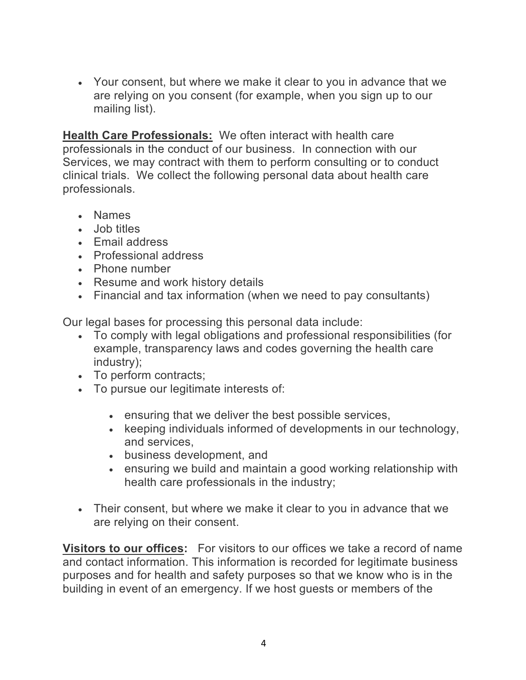• Your consent, but where we make it clear to you in advance that we are relying on you consent (for example, when you sign up to our mailing list).

**Health Care Professionals:** We often interact with health care professionals in the conduct of our business. In connection with our Services, we may contract with them to perform consulting or to conduct clinical trials. We collect the following personal data about health care professionals.

- Names
- Job titles
- Email address
- Professional address
- Phone number
- Resume and work history details
- Financial and tax information (when we need to pay consultants)

Our legal bases for processing this personal data include:

- To comply with legal obligations and professional responsibilities (for example, transparency laws and codes governing the health care industry);
- To perform contracts;
- To pursue our legitimate interests of:
	- ensuring that we deliver the best possible services,
	- keeping individuals informed of developments in our technology, and services,
	- business development, and
	- ensuring we build and maintain a good working relationship with health care professionals in the industry;
- Their consent, but where we make it clear to you in advance that we are relying on their consent.

**Visitors to our offices:** For visitors to our offices we take a record of name and contact information. This information is recorded for legitimate business purposes and for health and safety purposes so that we know who is in the building in event of an emergency. If we host guests or members of the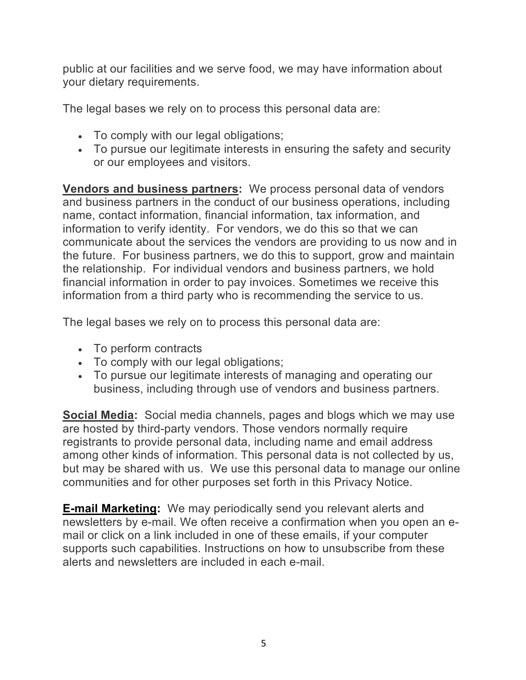public at our facilities and we serve food, we may have information about your dietary requirements.

The legal bases we rely on to process this personal data are:

- To comply with our legal obligations;
- To pursue our legitimate interests in ensuring the safety and security or our employees and visitors.

**Vendors and business partners:** We process personal data of vendors and business partners in the conduct of our business operations, including name, contact information, financial information, tax information, and information to verify identity. For vendors, we do this so that we can communicate about the services the vendors are providing to us now and in the future. For business partners, we do this to support, grow and maintain the relationship. For individual vendors and business partners, we hold financial information in order to pay invoices. Sometimes we receive this information from a third party who is recommending the service to us.

The legal bases we rely on to process this personal data are:

- To perform contracts
- To comply with our legal obligations;
- To pursue our legitimate interests of managing and operating our business, including through use of vendors and business partners.

**Social Media:** Social media channels, pages and blogs which we may use are hosted by third-party vendors. Those vendors normally require registrants to provide personal data, including name and email address among other kinds of information. This personal data is not collected by us, but may be shared with us. We use this personal data to manage our online communities and for other purposes set forth in this Privacy Notice.

**E-mail Marketing:** We may periodically send you relevant alerts and newsletters by e-mail. We often receive a confirmation when you open an email or click on a link included in one of these emails, if your computer supports such capabilities. Instructions on how to unsubscribe from these alerts and newsletters are included in each e-mail.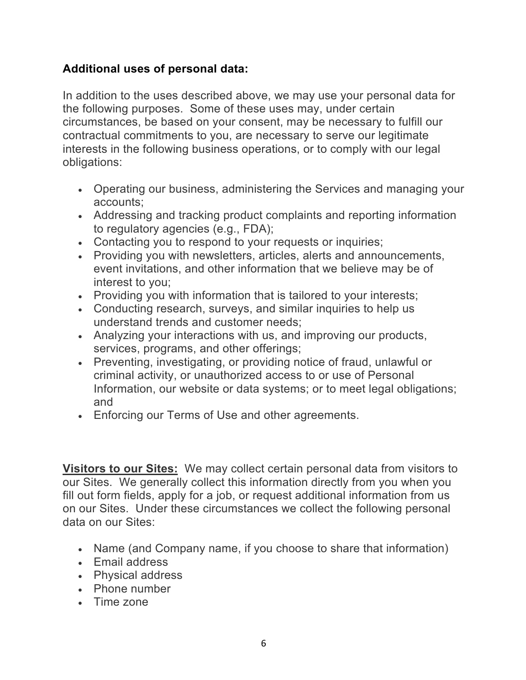# **Additional uses of personal data:**

In addition to the uses described above, we may use your personal data for the following purposes. Some of these uses may, under certain circumstances, be based on your consent, may be necessary to fulfill our contractual commitments to you, are necessary to serve our legitimate interests in the following business operations, or to comply with our legal obligations:

- Operating our business, administering the Services and managing your accounts;
- Addressing and tracking product complaints and reporting information to regulatory agencies (e.g., FDA);
- Contacting you to respond to your requests or inquiries;
- Providing you with newsletters, articles, alerts and announcements, event invitations, and other information that we believe may be of interest to you;
- Providing you with information that is tailored to your interests;
- Conducting research, surveys, and similar inquiries to help us understand trends and customer needs;
- Analyzing your interactions with us, and improving our products, services, programs, and other offerings;
- Preventing, investigating, or providing notice of fraud, unlawful or criminal activity, or unauthorized access to or use of Personal Information, our website or data systems; or to meet legal obligations; and
- Enforcing our Terms of Use and other agreements.

**Visitors to our Sites:** We may collect certain personal data from visitors to our Sites. We generally collect this information directly from you when you fill out form fields, apply for a job, or request additional information from us on our Sites. Under these circumstances we collect the following personal data on our Sites:

- Name (and Company name, if you choose to share that information)
- Email address
- Physical address
- Phone number
- Time zone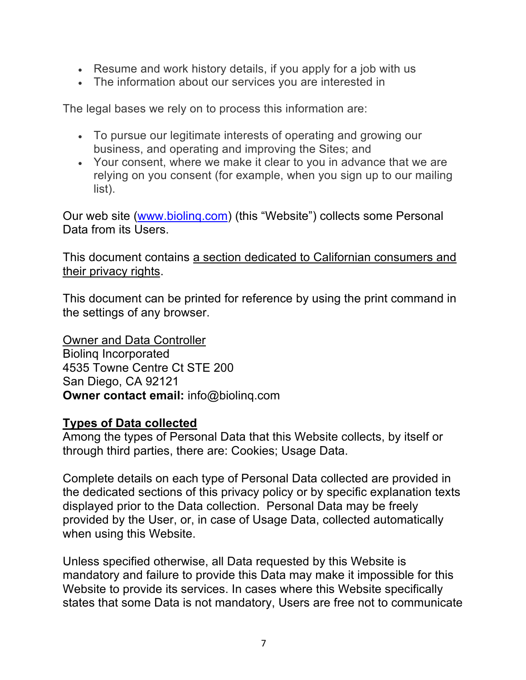- Resume and work history details, if you apply for a job with us
- The information about our services you are interested in

The legal bases we rely on to process this information are:

- To pursue our legitimate interests of operating and growing our business, and operating and improving the Sites; and
- Your consent, where we make it clear to you in advance that we are relying on you consent (for example, when you sign up to our mailing list).

Our web site (www.biolinq.com) (this "Website") collects some Personal Data from its Users.

This document contains a section dedicated to Californian consumers and their privacy rights.

This document can be printed for reference by using the print command in the settings of any browser.

Owner and Data Controller Biolinq Incorporated 4535 Towne Centre Ct STE 200 San Diego, CA 92121 **Owner contact email:** info@biolinq.com

### **Types of Data collected**

Among the types of Personal Data that this Website collects, by itself or through third parties, there are: Cookies; Usage Data.

Complete details on each type of Personal Data collected are provided in the dedicated sections of this privacy policy or by specific explanation texts displayed prior to the Data collection. Personal Data may be freely provided by the User, or, in case of Usage Data, collected automatically when using this Website.

Unless specified otherwise, all Data requested by this Website is mandatory and failure to provide this Data may make it impossible for this Website to provide its services. In cases where this Website specifically states that some Data is not mandatory, Users are free not to communicate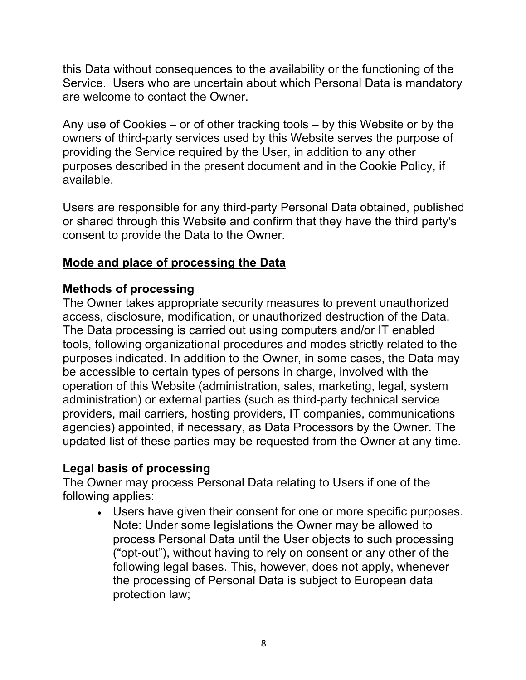this Data without consequences to the availability or the functioning of the Service. Users who are uncertain about which Personal Data is mandatory are welcome to contact the Owner.

Any use of Cookies – or of other tracking tools – by this Website or by the owners of third-party services used by this Website serves the purpose of providing the Service required by the User, in addition to any other purposes described in the present document and in the Cookie Policy, if available.

Users are responsible for any third-party Personal Data obtained, published or shared through this Website and confirm that they have the third party's consent to provide the Data to the Owner.

# **Mode and place of processing the Data**

# **Methods of processing**

The Owner takes appropriate security measures to prevent unauthorized access, disclosure, modification, or unauthorized destruction of the Data. The Data processing is carried out using computers and/or IT enabled tools, following organizational procedures and modes strictly related to the purposes indicated. In addition to the Owner, in some cases, the Data may be accessible to certain types of persons in charge, involved with the operation of this Website (administration, sales, marketing, legal, system administration) or external parties (such as third-party technical service providers, mail carriers, hosting providers, IT companies, communications agencies) appointed, if necessary, as Data Processors by the Owner. The updated list of these parties may be requested from the Owner at any time.

# **Legal basis of processing**

The Owner may process Personal Data relating to Users if one of the following applies:

• Users have given their consent for one or more specific purposes. Note: Under some legislations the Owner may be allowed to process Personal Data until the User objects to such processing ("opt-out"), without having to rely on consent or any other of the following legal bases. This, however, does not apply, whenever the processing of Personal Data is subject to European data protection law;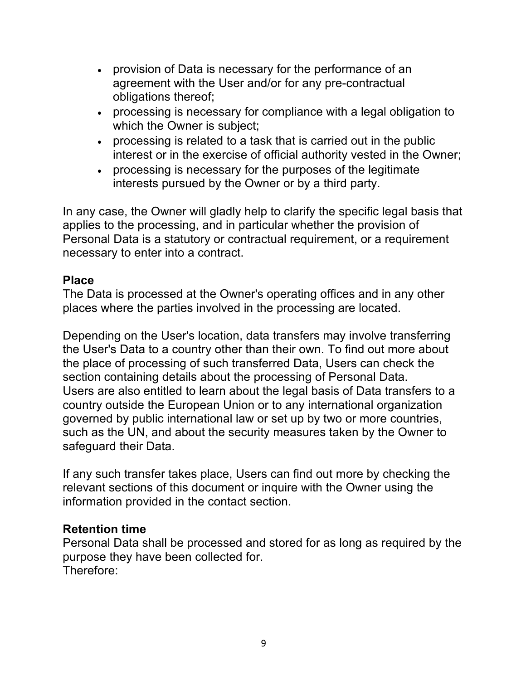- provision of Data is necessary for the performance of an agreement with the User and/or for any pre-contractual obligations thereof;
- processing is necessary for compliance with a legal obligation to which the Owner is subject;
- processing is related to a task that is carried out in the public interest or in the exercise of official authority vested in the Owner;
- processing is necessary for the purposes of the legitimate interests pursued by the Owner or by a third party.

In any case, the Owner will gladly help to clarify the specific legal basis that applies to the processing, and in particular whether the provision of Personal Data is a statutory or contractual requirement, or a requirement necessary to enter into a contract.

# **Place**

The Data is processed at the Owner's operating offices and in any other places where the parties involved in the processing are located.

Depending on the User's location, data transfers may involve transferring the User's Data to a country other than their own. To find out more about the place of processing of such transferred Data, Users can check the section containing details about the processing of Personal Data. Users are also entitled to learn about the legal basis of Data transfers to a country outside the European Union or to any international organization governed by public international law or set up by two or more countries, such as the UN, and about the security measures taken by the Owner to safeguard their Data.

If any such transfer takes place, Users can find out more by checking the relevant sections of this document or inquire with the Owner using the information provided in the contact section.

### **Retention time**

Personal Data shall be processed and stored for as long as required by the purpose they have been collected for. Therefore: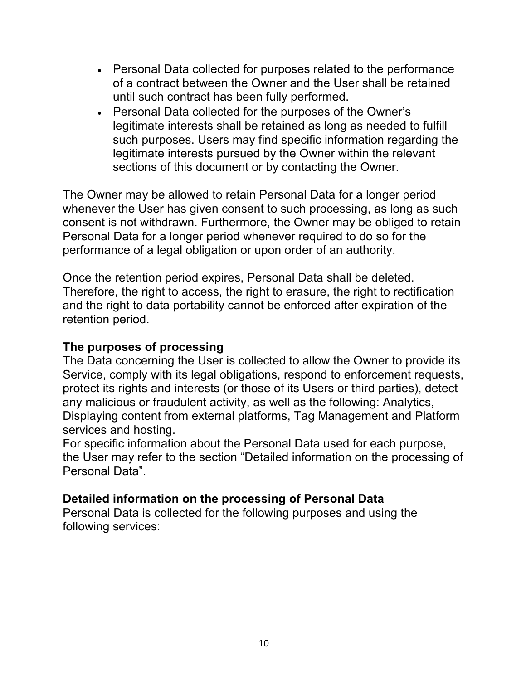- Personal Data collected for purposes related to the performance of a contract between the Owner and the User shall be retained until such contract has been fully performed.
- Personal Data collected for the purposes of the Owner's legitimate interests shall be retained as long as needed to fulfill such purposes. Users may find specific information regarding the legitimate interests pursued by the Owner within the relevant sections of this document or by contacting the Owner.

The Owner may be allowed to retain Personal Data for a longer period whenever the User has given consent to such processing, as long as such consent is not withdrawn. Furthermore, the Owner may be obliged to retain Personal Data for a longer period whenever required to do so for the performance of a legal obligation or upon order of an authority.

Once the retention period expires, Personal Data shall be deleted. Therefore, the right to access, the right to erasure, the right to rectification and the right to data portability cannot be enforced after expiration of the retention period.

### **The purposes of processing**

The Data concerning the User is collected to allow the Owner to provide its Service, comply with its legal obligations, respond to enforcement requests, protect its rights and interests (or those of its Users or third parties), detect any malicious or fraudulent activity, as well as the following: Analytics, Displaying content from external platforms, Tag Management and Platform services and hosting.

For specific information about the Personal Data used for each purpose, the User may refer to the section "Detailed information on the processing of Personal Data".

### **Detailed information on the processing of Personal Data**

Personal Data is collected for the following purposes and using the following services: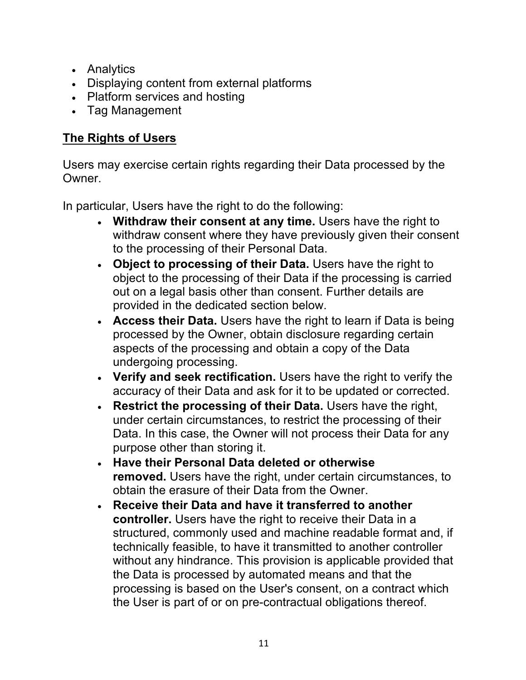- Analytics
- Displaying content from external platforms
- Platform services and hosting
- Tag Management

# **The Rights of Users**

Users may exercise certain rights regarding their Data processed by the Owner.

In particular, Users have the right to do the following:

- **Withdraw their consent at any time.** Users have the right to withdraw consent where they have previously given their consent to the processing of their Personal Data.
- **Object to processing of their Data.** Users have the right to object to the processing of their Data if the processing is carried out on a legal basis other than consent. Further details are provided in the dedicated section below.
- **Access their Data.** Users have the right to learn if Data is being processed by the Owner, obtain disclosure regarding certain aspects of the processing and obtain a copy of the Data undergoing processing.
- **Verify and seek rectification.** Users have the right to verify the accuracy of their Data and ask for it to be updated or corrected.
- **Restrict the processing of their Data.** Users have the right, under certain circumstances, to restrict the processing of their Data. In this case, the Owner will not process their Data for any purpose other than storing it.
- **Have their Personal Data deleted or otherwise removed.** Users have the right, under certain circumstances, to obtain the erasure of their Data from the Owner.
- **Receive their Data and have it transferred to another controller.** Users have the right to receive their Data in a structured, commonly used and machine readable format and, if technically feasible, to have it transmitted to another controller without any hindrance. This provision is applicable provided that the Data is processed by automated means and that the processing is based on the User's consent, on a contract which the User is part of or on pre-contractual obligations thereof.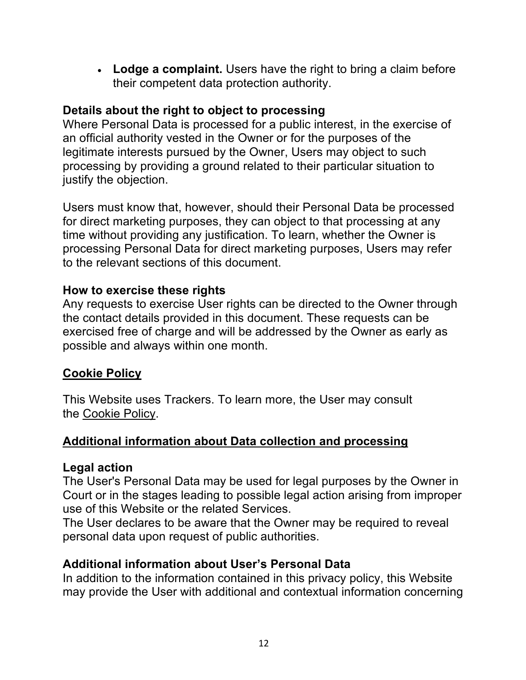• **Lodge a complaint.** Users have the right to bring a claim before their competent data protection authority.

# **Details about the right to object to processing**

Where Personal Data is processed for a public interest, in the exercise of an official authority vested in the Owner or for the purposes of the legitimate interests pursued by the Owner, Users may object to such processing by providing a ground related to their particular situation to justify the objection.

Users must know that, however, should their Personal Data be processed for direct marketing purposes, they can object to that processing at any time without providing any justification. To learn, whether the Owner is processing Personal Data for direct marketing purposes, Users may refer to the relevant sections of this document.

# **How to exercise these rights**

Any requests to exercise User rights can be directed to the Owner through the contact details provided in this document. These requests can be exercised free of charge and will be addressed by the Owner as early as possible and always within one month.

# **Cookie Policy**

This Website uses Trackers. To learn more, the User may consult the Cookie Policy.

# **Additional information about Data collection and processing**

# **Legal action**

The User's Personal Data may be used for legal purposes by the Owner in Court or in the stages leading to possible legal action arising from improper use of this Website or the related Services.

The User declares to be aware that the Owner may be required to reveal personal data upon request of public authorities.

# **Additional information about User's Personal Data**

In addition to the information contained in this privacy policy, this Website may provide the User with additional and contextual information concerning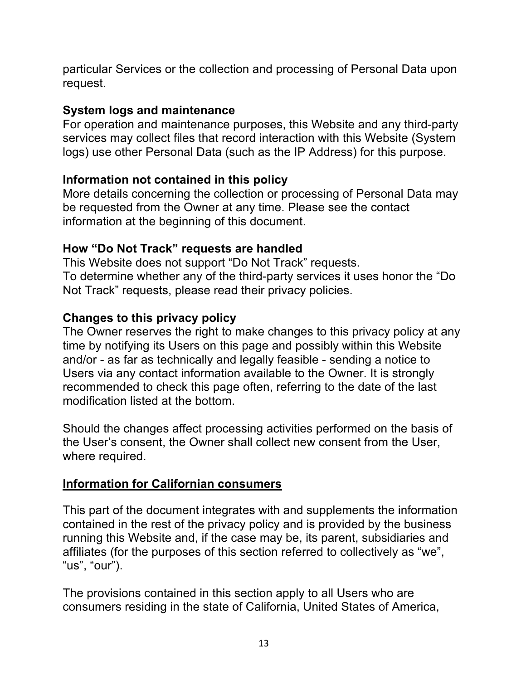particular Services or the collection and processing of Personal Data upon request.

# **System logs and maintenance**

For operation and maintenance purposes, this Website and any third-party services may collect files that record interaction with this Website (System logs) use other Personal Data (such as the IP Address) for this purpose.

# **Information not contained in this policy**

More details concerning the collection or processing of Personal Data may be requested from the Owner at any time. Please see the contact information at the beginning of this document.

# **How "Do Not Track" requests are handled**

This Website does not support "Do Not Track" requests. To determine whether any of the third-party services it uses honor the "Do Not Track" requests, please read their privacy policies.

# **Changes to this privacy policy**

The Owner reserves the right to make changes to this privacy policy at any time by notifying its Users on this page and possibly within this Website and/or - as far as technically and legally feasible - sending a notice to Users via any contact information available to the Owner. It is strongly recommended to check this page often, referring to the date of the last modification listed at the bottom.

Should the changes affect processing activities performed on the basis of the User's consent, the Owner shall collect new consent from the User, where required.

### **Information for Californian consumers**

This part of the document integrates with and supplements the information contained in the rest of the privacy policy and is provided by the business running this Website and, if the case may be, its parent, subsidiaries and affiliates (for the purposes of this section referred to collectively as "we", "us", "our").

The provisions contained in this section apply to all Users who are consumers residing in the state of California, United States of America,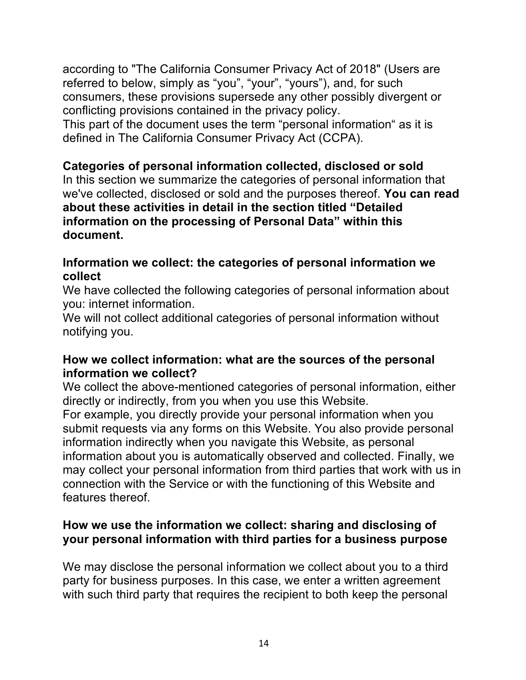according to "The California Consumer Privacy Act of 2018" (Users are referred to below, simply as "you", "your", "yours"), and, for such consumers, these provisions supersede any other possibly divergent or conflicting provisions contained in the privacy policy. This part of the document uses the term "personal information" as it is defined in The California Consumer Privacy Act (CCPA).

# **Categories of personal information collected, disclosed or sold**

In this section we summarize the categories of personal information that we've collected, disclosed or sold and the purposes thereof. **You can read about these activities in detail in the section titled "Detailed information on the processing of Personal Data" within this document.**

### **Information we collect: the categories of personal information we collect**

We have collected the following categories of personal information about you: internet information.

We will not collect additional categories of personal information without notifying you.

### **How we collect information: what are the sources of the personal information we collect?**

We collect the above-mentioned categories of personal information, either directly or indirectly, from you when you use this Website. For example, you directly provide your personal information when you submit requests via any forms on this Website. You also provide personal information indirectly when you navigate this Website, as personal information about you is automatically observed and collected. Finally, we may collect your personal information from third parties that work with us in connection with the Service or with the functioning of this Website and features thereof.

### **How we use the information we collect: sharing and disclosing of your personal information with third parties for a business purpose**

We may disclose the personal information we collect about you to a third party for business purposes. In this case, we enter a written agreement with such third party that requires the recipient to both keep the personal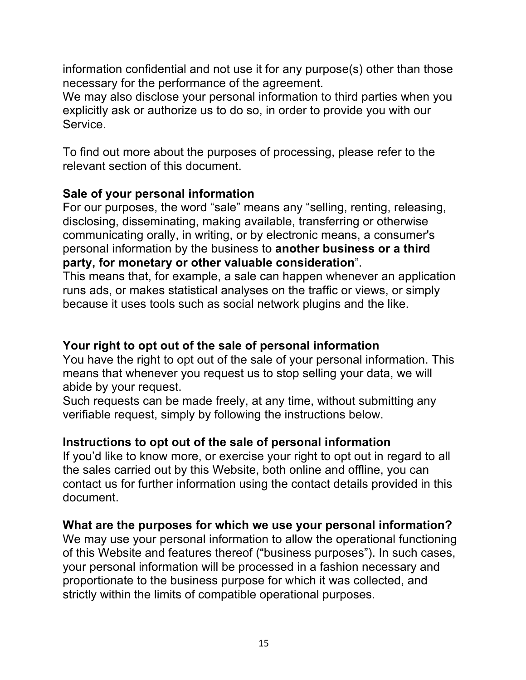information confidential and not use it for any purpose(s) other than those necessary for the performance of the agreement.

We may also disclose your personal information to third parties when you explicitly ask or authorize us to do so, in order to provide you with our Service.

To find out more about the purposes of processing, please refer to the relevant section of this document.

# **Sale of your personal information**

For our purposes, the word "sale" means any "selling, renting, releasing, disclosing, disseminating, making available, transferring or otherwise communicating orally, in writing, or by electronic means, a consumer's personal information by the business to **another business or a third party, for monetary or other valuable consideration**".

This means that, for example, a sale can happen whenever an application runs ads, or makes statistical analyses on the traffic or views, or simply because it uses tools such as social network plugins and the like.

# **Your right to opt out of the sale of personal information**

You have the right to opt out of the sale of your personal information. This means that whenever you request us to stop selling your data, we will abide by your request.

Such requests can be made freely, at any time, without submitting any verifiable request, simply by following the instructions below.

# **Instructions to opt out of the sale of personal information**

If you'd like to know more, or exercise your right to opt out in regard to all the sales carried out by this Website, both online and offline, you can contact us for further information using the contact details provided in this document.

### **What are the purposes for which we use your personal information?**

We may use your personal information to allow the operational functioning of this Website and features thereof ("business purposes"). In such cases, your personal information will be processed in a fashion necessary and proportionate to the business purpose for which it was collected, and strictly within the limits of compatible operational purposes.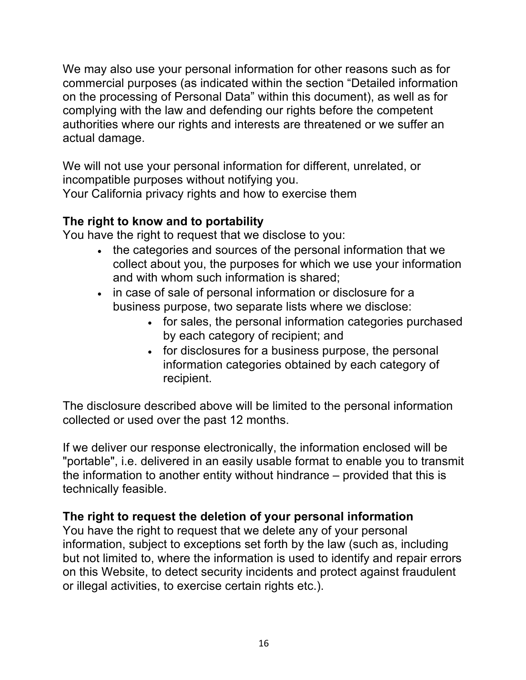We may also use your personal information for other reasons such as for commercial purposes (as indicated within the section "Detailed information on the processing of Personal Data" within this document), as well as for complying with the law and defending our rights before the competent authorities where our rights and interests are threatened or we suffer an actual damage.

We will not use your personal information for different, unrelated, or incompatible purposes without notifying you.

Your California privacy rights and how to exercise them

# **The right to know and to portability**

You have the right to request that we disclose to you:

- the categories and sources of the personal information that we collect about you, the purposes for which we use your information and with whom such information is shared;
- in case of sale of personal information or disclosure for a business purpose, two separate lists where we disclose:
	- for sales, the personal information categories purchased by each category of recipient; and
	- for disclosures for a business purpose, the personal information categories obtained by each category of recipient.

The disclosure described above will be limited to the personal information collected or used over the past 12 months.

If we deliver our response electronically, the information enclosed will be "portable", i.e. delivered in an easily usable format to enable you to transmit the information to another entity without hindrance – provided that this is technically feasible.

# **The right to request the deletion of your personal information**

You have the right to request that we delete any of your personal information, subject to exceptions set forth by the law (such as, including but not limited to, where the information is used to identify and repair errors on this Website, to detect security incidents and protect against fraudulent or illegal activities, to exercise certain rights etc.).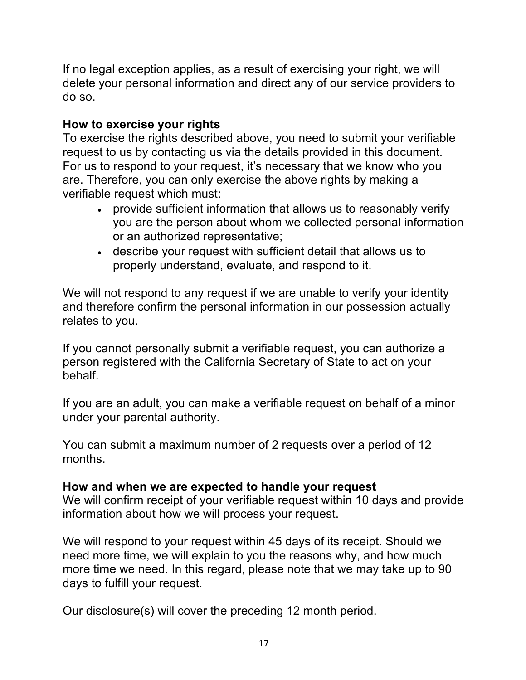If no legal exception applies, as a result of exercising your right, we will delete your personal information and direct any of our service providers to do so.

# **How to exercise your rights**

To exercise the rights described above, you need to submit your verifiable request to us by contacting us via the details provided in this document. For us to respond to your request, it's necessary that we know who you are. Therefore, you can only exercise the above rights by making a verifiable request which must:

- provide sufficient information that allows us to reasonably verify you are the person about whom we collected personal information or an authorized representative;
- describe your request with sufficient detail that allows us to properly understand, evaluate, and respond to it.

We will not respond to any request if we are unable to verify your identity and therefore confirm the personal information in our possession actually relates to you.

If you cannot personally submit a verifiable request, you can authorize a person registered with the California Secretary of State to act on your behalf.

If you are an adult, you can make a verifiable request on behalf of a minor under your parental authority.

You can submit a maximum number of 2 requests over a period of 12 months.

#### **How and when we are expected to handle your request**

We will confirm receipt of your verifiable request within 10 days and provide information about how we will process your request.

We will respond to your request within 45 days of its receipt. Should we need more time, we will explain to you the reasons why, and how much more time we need. In this regard, please note that we may take up to 90 days to fulfill your request.

Our disclosure(s) will cover the preceding 12 month period.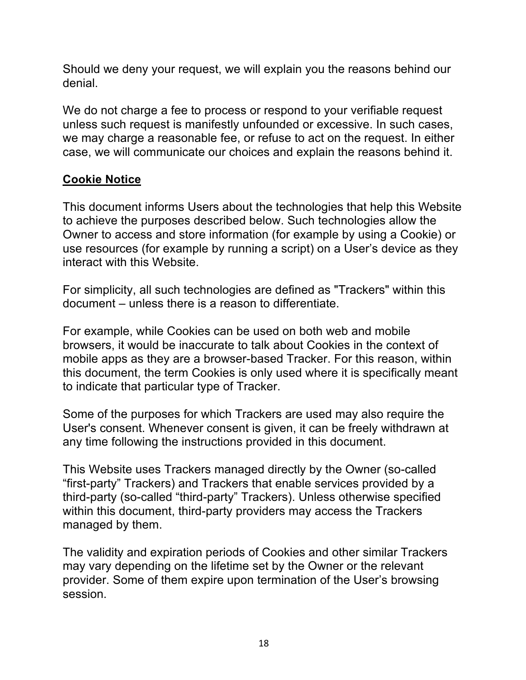Should we deny your request, we will explain you the reasons behind our denial.

We do not charge a fee to process or respond to your verifiable request unless such request is manifestly unfounded or excessive. In such cases, we may charge a reasonable fee, or refuse to act on the request. In either case, we will communicate our choices and explain the reasons behind it.

# **Cookie Notice**

This document informs Users about the technologies that help this Website to achieve the purposes described below. Such technologies allow the Owner to access and store information (for example by using a Cookie) or use resources (for example by running a script) on a User's device as they interact with this Website.

For simplicity, all such technologies are defined as "Trackers" within this document – unless there is a reason to differentiate.

For example, while Cookies can be used on both web and mobile browsers, it would be inaccurate to talk about Cookies in the context of mobile apps as they are a browser-based Tracker. For this reason, within this document, the term Cookies is only used where it is specifically meant to indicate that particular type of Tracker.

Some of the purposes for which Trackers are used may also require the User's consent. Whenever consent is given, it can be freely withdrawn at any time following the instructions provided in this document.

This Website uses Trackers managed directly by the Owner (so-called "first-party" Trackers) and Trackers that enable services provided by a third-party (so-called "third-party" Trackers). Unless otherwise specified within this document, third-party providers may access the Trackers managed by them.

The validity and expiration periods of Cookies and other similar Trackers may vary depending on the lifetime set by the Owner or the relevant provider. Some of them expire upon termination of the User's browsing session.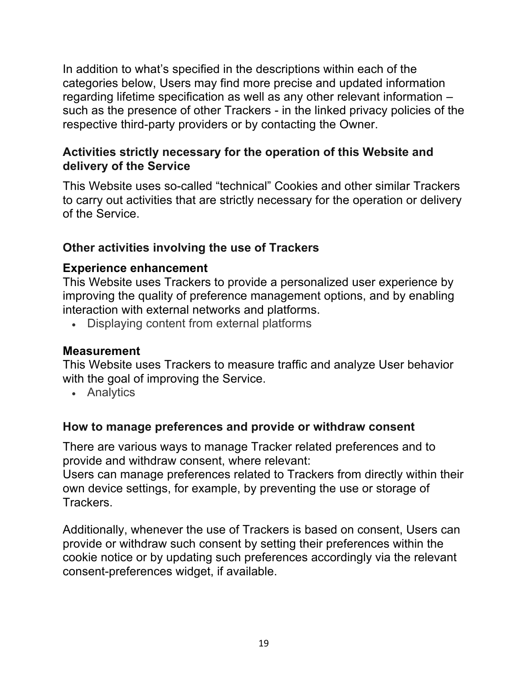In addition to what's specified in the descriptions within each of the categories below, Users may find more precise and updated information regarding lifetime specification as well as any other relevant information – such as the presence of other Trackers - in the linked privacy policies of the respective third-party providers or by contacting the Owner.

# **Activities strictly necessary for the operation of this Website and delivery of the Service**

This Website uses so-called "technical" Cookies and other similar Trackers to carry out activities that are strictly necessary for the operation or delivery of the Service.

# **Other activities involving the use of Trackers**

# **Experience enhancement**

This Website uses Trackers to provide a personalized user experience by improving the quality of preference management options, and by enabling interaction with external networks and platforms.

• Displaying content from external platforms

### **Measurement**

This Website uses Trackers to measure traffic and analyze User behavior with the goal of improving the Service.

• Analytics

### **How to manage preferences and provide or withdraw consent**

There are various ways to manage Tracker related preferences and to provide and withdraw consent, where relevant:

Users can manage preferences related to Trackers from directly within their own device settings, for example, by preventing the use or storage of Trackers.

Additionally, whenever the use of Trackers is based on consent, Users can provide or withdraw such consent by setting their preferences within the cookie notice or by updating such preferences accordingly via the relevant consent-preferences widget, if available.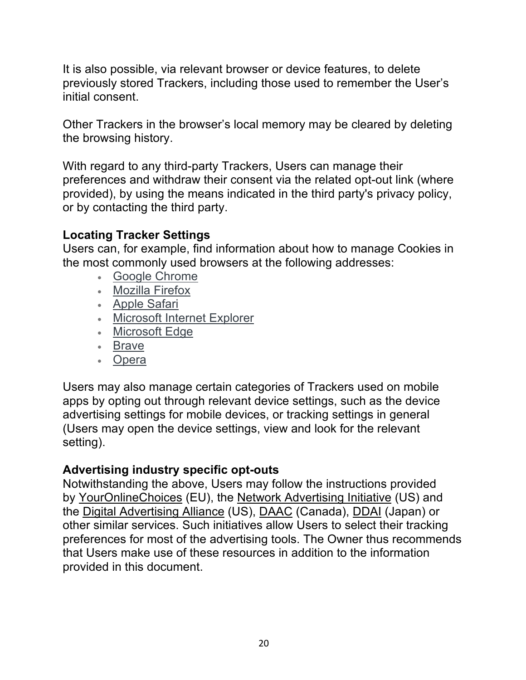It is also possible, via relevant browser or device features, to delete previously stored Trackers, including those used to remember the User's initial consent.

Other Trackers in the browser's local memory may be cleared by deleting the browsing history.

With regard to any third-party Trackers, Users can manage their preferences and withdraw their consent via the related opt-out link (where provided), by using the means indicated in the third party's privacy policy, or by contacting the third party.

# **Locating Tracker Settings**

Users can, for example, find information about how to manage Cookies in the most commonly used browsers at the following addresses:

- Google Chrome
- Mozilla Firefox
- Apple Safari
- Microsoft Internet Explorer
- Microsoft Edge
- Brave
- Opera

Users may also manage certain categories of Trackers used on mobile apps by opting out through relevant device settings, such as the device advertising settings for mobile devices, or tracking settings in general (Users may open the device settings, view and look for the relevant setting).

### **Advertising industry specific opt-outs**

Notwithstanding the above, Users may follow the instructions provided by YourOnlineChoices (EU), the Network Advertising Initiative (US) and the Digital Advertising Alliance (US), DAAC (Canada), DDAI (Japan) or other similar services. Such initiatives allow Users to select their tracking preferences for most of the advertising tools. The Owner thus recommends that Users make use of these resources in addition to the information provided in this document.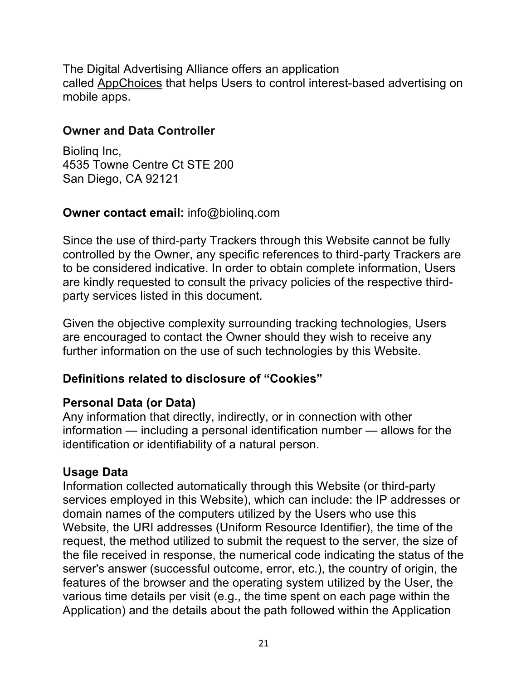The Digital Advertising Alliance offers an application called AppChoices that helps Users to control interest-based advertising on mobile apps.

### **Owner and Data Controller**

Biolinq Inc, 4535 Towne Centre Ct STE 200 San Diego, CA 92121

### **Owner contact email:** info@biolinq.com

Since the use of third-party Trackers through this Website cannot be fully controlled by the Owner, any specific references to third-party Trackers are to be considered indicative. In order to obtain complete information, Users are kindly requested to consult the privacy policies of the respective thirdparty services listed in this document.

Given the objective complexity surrounding tracking technologies, Users are encouraged to contact the Owner should they wish to receive any further information on the use of such technologies by this Website.

### **Definitions related to disclosure of "Cookies"**

### **Personal Data (or Data)**

Any information that directly, indirectly, or in connection with other information — including a personal identification number — allows for the identification or identifiability of a natural person.

### **Usage Data**

Information collected automatically through this Website (or third-party services employed in this Website), which can include: the IP addresses or domain names of the computers utilized by the Users who use this Website, the URI addresses (Uniform Resource Identifier), the time of the request, the method utilized to submit the request to the server, the size of the file received in response, the numerical code indicating the status of the server's answer (successful outcome, error, etc.), the country of origin, the features of the browser and the operating system utilized by the User, the various time details per visit (e.g., the time spent on each page within the Application) and the details about the path followed within the Application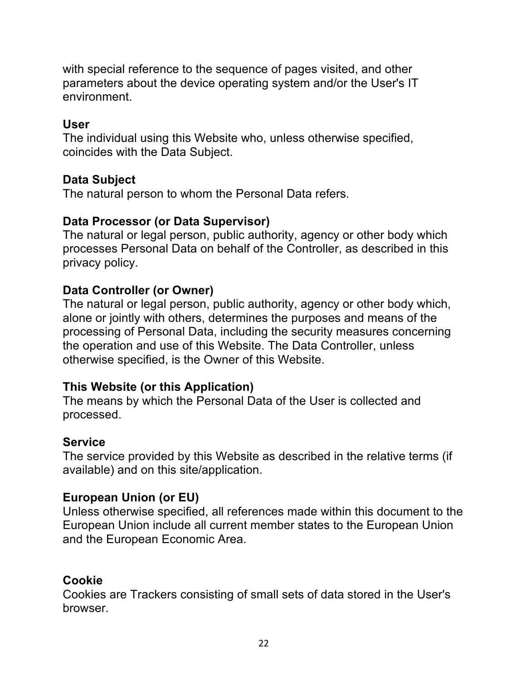with special reference to the sequence of pages visited, and other parameters about the device operating system and/or the User's IT environment.

# **User**

The individual using this Website who, unless otherwise specified, coincides with the Data Subject.

# **Data Subject**

The natural person to whom the Personal Data refers.

### **Data Processor (or Data Supervisor)**

The natural or legal person, public authority, agency or other body which processes Personal Data on behalf of the Controller, as described in this privacy policy.

# **Data Controller (or Owner)**

The natural or legal person, public authority, agency or other body which, alone or jointly with others, determines the purposes and means of the processing of Personal Data, including the security measures concerning the operation and use of this Website. The Data Controller, unless otherwise specified, is the Owner of this Website.

### **This Website (or this Application)**

The means by which the Personal Data of the User is collected and processed.

### **Service**

The service provided by this Website as described in the relative terms (if available) and on this site/application.

### **European Union (or EU)**

Unless otherwise specified, all references made within this document to the European Union include all current member states to the European Union and the European Economic Area.

### **Cookie**

Cookies are Trackers consisting of small sets of data stored in the User's browser.